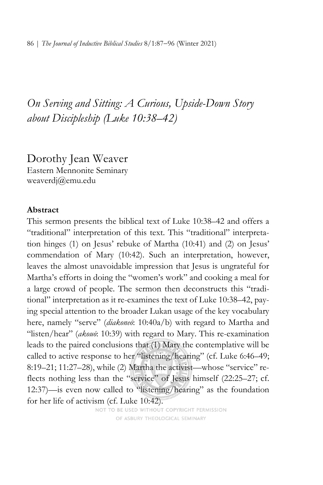*On Serving and Sitting: A Curious, Upside-Down Story about Discipleship (Luke 10:38–42)* 

Dorothy Jean Weaver Eastern Mennonite Seminary weaverdj@emu.edu

### **Abstract**

This sermon presents the biblical text of Luke 10:38–42 and offers a "traditional" interpretation of this text. This "traditional" interpretation hinges (1) on Jesus' rebuke of Martha (10:41) and (2) on Jesus' commendation of Mary (10:42). Such an interpretation, however, leaves the almost unavoidable impression that Jesus is ungrateful for Martha's efforts in doing the "women's work" and cooking a meal for a large crowd of people. The sermon then deconstructs this "traditional" interpretation as it re-examines the text of Luke 10:38–42, paying special attention to the broader Lukan usage of the key vocabulary here, namely "serve" (*diakoneō*: 10:40a/b) with regard to Martha and "listen/hear" (*akouō*: 10:39) with regard to Mary. This re-examination leads to the paired conclusions that (1) Mary the contemplative will be called to active response to her "listening/hearing" (cf. Luke 6:46-49; 8:19–21; 11:27–28), while (2) Martha the activist—whose "service" reflects nothing less than the "service" of Jesus himself (22:25–27; cf. 12:37)—is even now called to "listening/hearing" as the foundation for her life of activism (cf. Luke 10:42).

NOT TO BE USED WITHOUT COPYRIGHT PERMISSION OF ASBURY THEOLOGICAL SEMINARY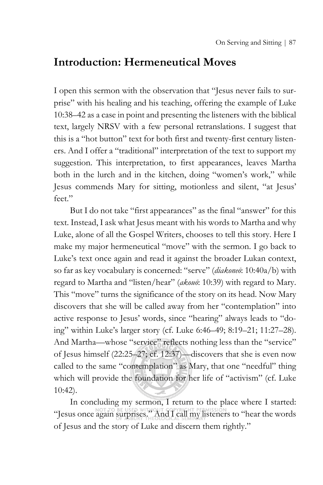## **Introduction: Hermeneutical Moves**

I open this sermon with the observation that "Jesus never fails to surprise" with his healing and his teaching, offering the example of Luke 10:38–42 as a case in point and presenting the listeners with the biblical text, largely NRSV with a few personal retranslations. I suggest that this is a "hot button" text for both first and twenty-first century listeners. And I offer a "traditional" interpretation of the text to support my suggestion. This interpretation, to first appearances, leaves Martha both in the lurch and in the kitchen, doing "women's work," while Jesus commends Mary for sitting, motionless and silent, "at Jesus' feet."

But I do not take "first appearances" as the final "answer" for this text. Instead, I ask what Jesus meant with his words to Martha and why Luke, alone of all the Gospel Writers, chooses to tell this story. Here I make my major hermeneutical "move" with the sermon. I go back to Luke's text once again and read it against the broader Lukan context, so far as key vocabulary is concerned: "serve" (*diakoneō*: 10:40a/b) with regard to Martha and "listen/hear" (*akouō*: 10:39) with regard to Mary. This "move" turns the significance of the story on its head. Now Mary discovers that she will be called away from her "contemplation" into active response to Jesus' words, since "hearing" always leads to "doing" within Luke's larger story (cf. Luke 6:46–49; 8:19–21; 11:27–28). And Martha—whose "service" reflects nothing less than the "service" of Jesus himself (22:25–27; cf. 12:37)—discovers that she is even now called to the same "contemplation" as Mary, that one "needful" thing which will provide the foundation for her life of "activism" (cf. Luke 10:42).

In concluding my sermon, I return to the place where I started: "Jesus once again surprises." And I call my listeners to "hear the words of Jesus and the story of Luke and discern them rightly."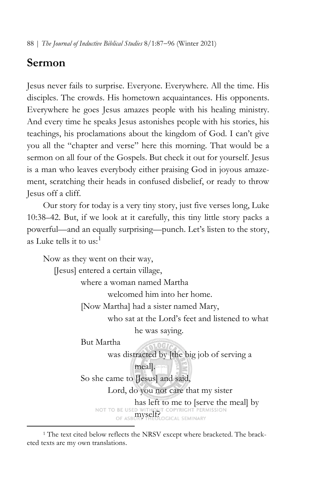88 | *The Journal of Inductive Biblical Studies* 8/1:87−96 (Winter 2021)

# **Sermon**

Jesus never fails to surprise. Everyone. Everywhere. All the time. His disciples. The crowds. His hometown acquaintances. His opponents. Everywhere he goes Jesus amazes people with his healing ministry. And every time he speaks Jesus astonishes people with his stories, his teachings, his proclamations about the kingdom of God. I can't give you all the "chapter and verse" here this morning. That would be a sermon on all four of the Gospels. But check it out for yourself. Jesus is a man who leaves everybody either praising God in joyous amazement, scratching their heads in confused disbelief, or ready to throw Jesus off a cliff.

Our story for today is a very tiny story, just five verses long, Luke 10:38–42. But, if we look at it carefully, this tiny little story packs a powerful—and an equally surprising—punch. Let's listen to the story, as Luke tells it to us: [1](#page-2-0)

Now as they went on their way, [Jesus] entered a certain village, where a woman named Martha welcomed him into her home. [Now Martha] had a sister named Mary, who sat at the Lord's feet and listened to what he was saying. But Martha was distracted by [the big job of serving a meal]. So she came to [Jesus] and said, Lord, do you not care that my sister

> has left to me to [serve the meal] by NOT TO BE USED WITHOUT COPYRIGHT PERMISSION<br>OF ASBURY SHEOLOGICAL SEMINARY

<span id="page-2-0"></span><sup>&</sup>lt;sup>1</sup> The text cited below reflects the NRSV except where bracketed. The bracketed texts are my own translations.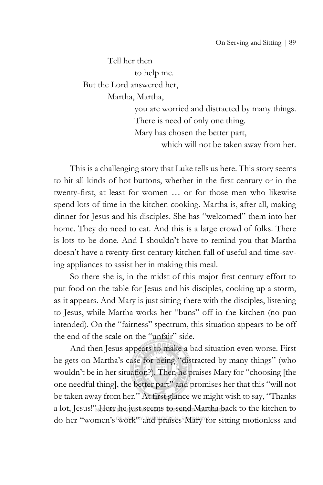Tell her then to help me. But the Lord answered her, Martha, Martha, you are worried and distracted by many things.

 There is need of only one thing. Mary has chosen the better part, which will not be taken away from her.

This is a challenging story that Luke tells us here. This story seems to hit all kinds of hot buttons, whether in the first century or in the twenty-first, at least for women … or for those men who likewise spend lots of time in the kitchen cooking. Martha is, after all, making dinner for Jesus and his disciples. She has "welcomed" them into her home. They do need to eat. And this is a large crowd of folks. There is lots to be done. And I shouldn't have to remind you that Martha doesn't have a twenty-first century kitchen full of useful and time-saving appliances to assist her in making this meal.

So there she is, in the midst of this major first century effort to put food on the table for Jesus and his disciples, cooking up a storm, as it appears. And Mary is just sitting there with the disciples, listening to Jesus, while Martha works her "buns" off in the kitchen (no pun intended). On the "fairness" spectrum, this situation appears to be off the end of the scale on the "unfair" side.

And then Jesus appears to make a bad situation even worse. First he gets on Martha's case for being "distracted by many things" (who wouldn't be in her situation?). Then he praises Mary for "choosing [the one needful thing], the better part" and promises her that this "will not be taken away from her." At first glance we might wish to say, "Thanks a lot, Jesus!" Here he just seems to send Martha back to the kitchen to do her "women's work" and praises Mary for sitting motionless and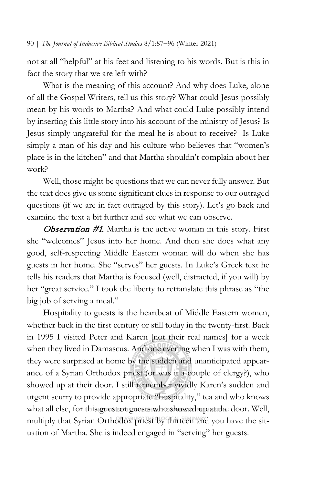not at all "helpful" at his feet and listening to his words. But is this in fact the story that we are left with?

What is the meaning of this account? And why does Luke, alone of all the Gospel Writers, tell us this story? What could Jesus possibly mean by his words to Martha? And what could Luke possibly intend by inserting this little story into his account of the ministry of Jesus? Is Jesus simply ungrateful for the meal he is about to receive? Is Luke simply a man of his day and his culture who believes that "women's place is in the kitchen" and that Martha shouldn't complain about her work?

Well, those might be questions that we can never fully answer. But the text does give us some significant clues in response to our outraged questions (if we are in fact outraged by this story). Let's go back and examine the text a bit further and see what we can observe.

**Observation #1.** Martha is the active woman in this story. First she "welcomes" Jesus into her home. And then she does what any good, self-respecting Middle Eastern woman will do when she has guests in her home. She "serves" her guests. In Luke's Greek text he tells his readers that Martha is focused (well, distracted, if you will) by her "great service." I took the liberty to retranslate this phrase as "the big job of serving a meal."

Hospitality to guests is the heartbeat of Middle Eastern women, whether back in the first century or still today in the twenty-first. Back in 1995 I visited Peter and Karen [not their real names] for a week when they lived in Damascus. And one evening when I was with them, they were surprised at home by the sudden and unanticipated appearance of a Syrian Orthodox priest (or was it a couple of clergy?), who showed up at their door. I still remember vividly Karen's sudden and urgent scurry to provide appropriate "hospitality," tea and who knows what all else, for this guest or guests who showed up at the door. Well, multiply that Syrian Orthodox priest by thirteen and you have the situation of Martha. She is indeed engaged in "serving" her guests.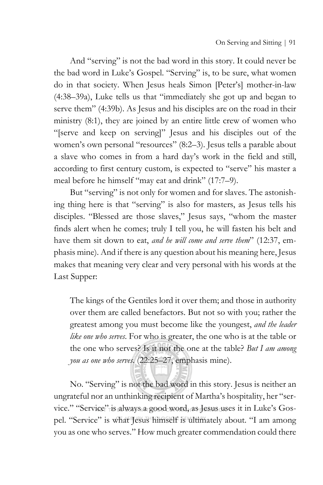And "serving" is not the bad word in this story. It could never be the bad word in Luke's Gospel. "Serving" is, to be sure, what women do in that society. When Jesus heals Simon [Peter's] mother-in-law (4:38–39a), Luke tells us that "immediately she got up and began to serve them" (4:39b). As Jesus and his disciples are on the road in their ministry (8:1), they are joined by an entire little crew of women who "[serve and keep on serving]" Jesus and his disciples out of the women's own personal "resources" (8:2–3). Jesus tells a parable about a slave who comes in from a hard day's work in the field and still, according to first century custom, is expected to "serve" his master a meal before he himself "may eat and drink" (17:7–9).

But "serving" is not only for women and for slaves. The astonishing thing here is that "serving" is also for masters, as Jesus tells his disciples. "Blessed are those slaves," Jesus says, "whom the master finds alert when he comes; truly I tell you, he will fasten his belt and have them sit down to eat, *and he will come and serve them*" (12:37, emphasis mine). And if there is any question about his meaning here, Jesus makes that meaning very clear and very personal with his words at the Last Supper:

The kings of the Gentiles lord it over them; and those in authority over them are called benefactors. But not so with you; rather the greatest among you must become like the youngest, *and the leader like one who serves*. For who is greater, the one who is at the table or the one who serves? Is it not the one at the table? *But I am among you as one who serves*. (22:25–27, emphasis mine).

No. "Serving" is not the bad word in this story. Jesus is neither an ungrateful nor an unthinking recipient of Martha's hospitality, her "service." "Service" is always a good word, as Jesus uses it in Luke's Gospel. "Service" is what Jesus himself is ultimately about. "I am among you as one who serves." How much greater commendation could there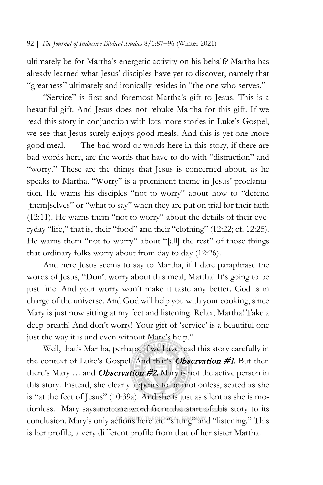ultimately be for Martha's energetic activity on his behalf? Martha has already learned what Jesus' disciples have yet to discover, namely that "greatness" ultimately and ironically resides in "the one who serves."

"Service" is first and foremost Martha's gift to Jesus. This is a beautiful gift. And Jesus does not rebuke Martha for this gift. If we read this story in conjunction with lots more stories in Luke's Gospel, we see that Jesus surely enjoys good meals. And this is yet one more good meal. The bad word or words here in this story, if there are bad words here, are the words that have to do with "distraction" and "worry." These are the things that Jesus is concerned about, as he speaks to Martha. "Worry" is a prominent theme in Jesus' proclamation. He warns his disciples "not to worry" about how to "defend [them]selves" or "what to say" when they are put on trial for their faith (12:11). He warns them "not to worry" about the details of their everyday "life," that is, their "food" and their "clothing" (12:22; cf. 12:25). He warns them "not to worry" about "[all] the rest" of those things that ordinary folks worry about from day to day (12:26).

And here Jesus seems to say to Martha, if I dare paraphrase the words of Jesus, "Don't worry about this meal, Martha! It's going to be just fine. And your worry won't make it taste any better. God is in charge of the universe. And God will help you with your cooking, since Mary is just now sitting at my feet and listening. Relax, Martha! Take a deep breath! And don't worry! Your gift of 'service' is a beautiful one just the way it is and even without Mary's help."

Well, that's Martha, perhaps, if we have read this story carefully in the context of Luke's Gospel. And that's **Observation #1.** But then there's Mary  $\ldots$  and *Observation #2*. Mary is not the active person in this story. Instead, she clearly appears to be motionless, seated as she is "at the feet of Jesus" (10:39a). And she is just as silent as she is motionless. Mary says not cone word from the start of this story to its conclusion. Mary's only actions here are "sitting" and "listening." This is her profile, a very different profile from that of her sister Martha.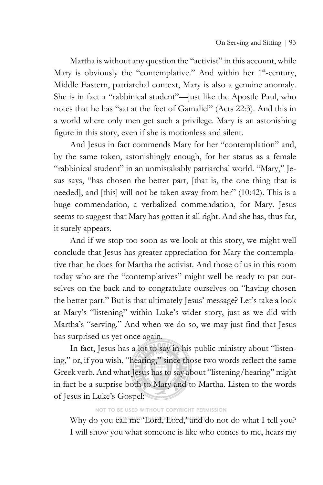Martha is without any question the "activist" in this account, while Mary is obviously the "contemplative." And within her 1<sup>st</sup>-century, Middle Eastern, patriarchal context, Mary is also a genuine anomaly. She is in fact a "rabbinical student"—just like the Apostle Paul, who notes that he has "sat at the feet of Gamaliel" (Acts 22:3). And this in a world where only men get such a privilege. Mary is an astonishing figure in this story, even if she is motionless and silent.

And Jesus in fact commends Mary for her "contemplation" and, by the same token, astonishingly enough, for her status as a female "rabbinical student" in an unmistakably patriarchal world. "Mary," Jesus says, "has chosen the better part, [that is, the one thing that is needed], and [this] will not be taken away from her" (10:42). This is a huge commendation, a verbalized commendation, for Mary. Jesus seems to suggest that Mary has gotten it all right. And she has, thus far, it surely appears.

And if we stop too soon as we look at this story, we might well conclude that Jesus has greater appreciation for Mary the contemplative than he does for Martha the activist. And those of us in this room today who are the "contemplatives" might well be ready to pat ourselves on the back and to congratulate ourselves on "having chosen the better part." But is that ultimately Jesus' message? Let's take a look at Mary's "listening" within Luke's wider story, just as we did with Martha's "serving." And when we do so, we may just find that Jesus has surprised us yet once again.

In fact, Jesus has a lot to say in his public ministry about "listening," or, if you wish, "hearing," since those two words reflect the same Greek verb. And what Jesus has to say about "listening/hearing" might in fact be a surprise both to Mary and to Martha. Listen to the words of Jesus in Luke's Gospel:

### NOT TO BE USED WITHOUT COPYRIGHT PERMISSION

Why do you call me 'Lord, Lord,' and do not do what I tell you? I will show you what someone is like who comes to me, hears my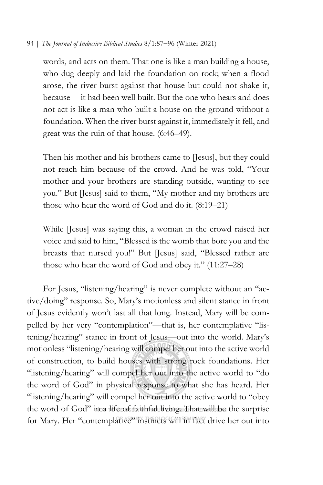#### 94 | *The Journal of Inductive Biblical Studies* 8/1:87−96 (Winter 2021)

words, and acts on them. That one is like a man building a house, who dug deeply and laid the foundation on rock; when a flood arose, the river burst against that house but could not shake it, because it had been well built. But the one who hears and does not act is like a man who built a house on the ground without a foundation. When the river burst against it, immediately it fell, and great was the ruin of that house. (6:46–49).

Then his mother and his brothers came to [Jesus], but they could not reach him because of the crowd. And he was told, "Your mother and your brothers are standing outside, wanting to see you." But [Jesus] said to them, "My mother and my brothers are those who hear the word of God and do it. (8:19–21)

While [Jesus] was saying this, a woman in the crowd raised her voice and said to him, "Blessed is the womb that bore you and the breasts that nursed you!" But [Jesus] said, "Blessed rather are those who hear the word of God and obey it." (11:27–28)

For Jesus, "listening/hearing" is never complete without an "active/doing" response. So, Mary's motionless and silent stance in front of Jesus evidently won't last all that long. Instead, Mary will be compelled by her very "contemplation"—that is, her contemplative "listening/hearing" stance in front of Jesus—out into the world. Mary's motionless "listening/hearing will compel her out into the active world of construction, to build houses with strong rock foundations. Her "listening/hearing" will compel her out into the active world to "do" the word of God" in physical response to what she has heard. Her "listening/hearing" will compel her out into the active world to "obey the word of God" in a life of faithful living. That will be the surprise for Mary. Her "contemplative" instincts will in fact drive her out into